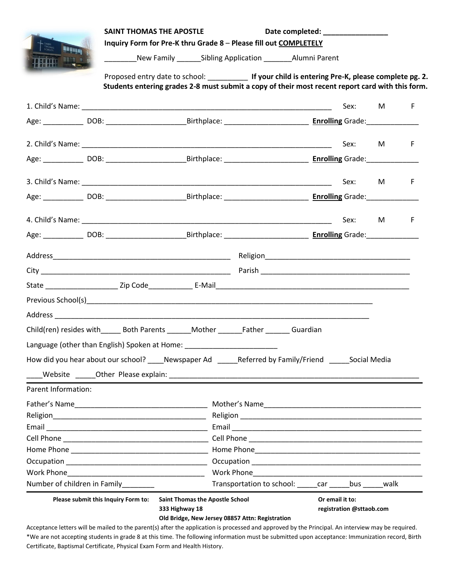|                                                                                                                 | SAINT THOMAS THE APOSTLE<br>Date completed: ________________<br>Inquiry Form for Pre-K thru Grade 8 - Please fill out COMPLETELY |                                                                                                                                                                                                          |                                                                                                                                                                                                                                                      |  |      |          |   |
|-----------------------------------------------------------------------------------------------------------------|----------------------------------------------------------------------------------------------------------------------------------|----------------------------------------------------------------------------------------------------------------------------------------------------------------------------------------------------------|------------------------------------------------------------------------------------------------------------------------------------------------------------------------------------------------------------------------------------------------------|--|------|----------|---|
| SAINT<br>THOMAS<br>SCHOOL<br><b>NUMBER</b><br><b>TENT =</b>                                                     |                                                                                                                                  | New Family ________ Sibling Application _________ Alumni Parent                                                                                                                                          |                                                                                                                                                                                                                                                      |  |      |          |   |
|                                                                                                                 |                                                                                                                                  | Proposed entry date to school: _____________ If your child is entering Pre-K, please complete pg. 2.<br>Students entering grades 2-8 must submit a copy of their most recent report card with this form. |                                                                                                                                                                                                                                                      |  |      |          |   |
|                                                                                                                 |                                                                                                                                  |                                                                                                                                                                                                          |                                                                                                                                                                                                                                                      |  | Sex: | M        | F |
| Age: 100B: 100B: 100B: 100B: 100B: 100B: 100B: 100B: 100B: 100B: 100B: 100B: 100B: 100B: 100B: 100B: 100B: 100B |                                                                                                                                  |                                                                                                                                                                                                          |                                                                                                                                                                                                                                                      |  |      |          |   |
|                                                                                                                 |                                                                                                                                  |                                                                                                                                                                                                          |                                                                                                                                                                                                                                                      |  | Sex: | M        | F |
|                                                                                                                 |                                                                                                                                  |                                                                                                                                                                                                          |                                                                                                                                                                                                                                                      |  |      |          |   |
|                                                                                                                 |                                                                                                                                  |                                                                                                                                                                                                          |                                                                                                                                                                                                                                                      |  |      |          |   |
|                                                                                                                 |                                                                                                                                  |                                                                                                                                                                                                          |                                                                                                                                                                                                                                                      |  |      | Sex: M F |   |
|                                                                                                                 |                                                                                                                                  |                                                                                                                                                                                                          |                                                                                                                                                                                                                                                      |  |      |          |   |
|                                                                                                                 |                                                                                                                                  |                                                                                                                                                                                                          |                                                                                                                                                                                                                                                      |  | Sex: | M        | F |
|                                                                                                                 |                                                                                                                                  |                                                                                                                                                                                                          |                                                                                                                                                                                                                                                      |  |      |          |   |
|                                                                                                                 |                                                                                                                                  |                                                                                                                                                                                                          |                                                                                                                                                                                                                                                      |  |      |          |   |
|                                                                                                                 |                                                                                                                                  |                                                                                                                                                                                                          |                                                                                                                                                                                                                                                      |  |      |          |   |
|                                                                                                                 |                                                                                                                                  |                                                                                                                                                                                                          |                                                                                                                                                                                                                                                      |  |      |          |   |
|                                                                                                                 |                                                                                                                                  |                                                                                                                                                                                                          |                                                                                                                                                                                                                                                      |  |      |          |   |
| Previous School(s) Previous School(s) Previous Community of the Community Community Community Community Communi |                                                                                                                                  |                                                                                                                                                                                                          |                                                                                                                                                                                                                                                      |  |      |          |   |
| Child(ren) resides with Both Parents Mother Father Guardian                                                     |                                                                                                                                  |                                                                                                                                                                                                          |                                                                                                                                                                                                                                                      |  |      |          |   |
| Language (other than English) Spoken at Home: __________________________________                                |                                                                                                                                  |                                                                                                                                                                                                          |                                                                                                                                                                                                                                                      |  |      |          |   |
| How did you hear about our school? ____Newspaper Ad ______Referred by Family/Friend ______Social Media          |                                                                                                                                  |                                                                                                                                                                                                          |                                                                                                                                                                                                                                                      |  |      |          |   |
|                                                                                                                 |                                                                                                                                  |                                                                                                                                                                                                          |                                                                                                                                                                                                                                                      |  |      |          |   |
| Parent Information:                                                                                             |                                                                                                                                  |                                                                                                                                                                                                          |                                                                                                                                                                                                                                                      |  |      |          |   |
|                                                                                                                 |                                                                                                                                  |                                                                                                                                                                                                          |                                                                                                                                                                                                                                                      |  |      |          |   |
|                                                                                                                 |                                                                                                                                  |                                                                                                                                                                                                          |                                                                                                                                                                                                                                                      |  |      |          |   |
|                                                                                                                 |                                                                                                                                  |                                                                                                                                                                                                          |                                                                                                                                                                                                                                                      |  |      |          |   |
|                                                                                                                 |                                                                                                                                  |                                                                                                                                                                                                          |                                                                                                                                                                                                                                                      |  |      |          |   |
|                                                                                                                 |                                                                                                                                  |                                                                                                                                                                                                          |                                                                                                                                                                                                                                                      |  |      |          |   |
|                                                                                                                 |                                                                                                                                  |                                                                                                                                                                                                          |                                                                                                                                                                                                                                                      |  |      |          |   |
|                                                                                                                 |                                                                                                                                  |                                                                                                                                                                                                          |                                                                                                                                                                                                                                                      |  |      |          |   |
| Number of children in Family________                                                                            |                                                                                                                                  |                                                                                                                                                                                                          | Transportation to school: car bus walk                                                                                                                                                                                                               |  |      |          |   |
| Please submit this Inquiry Form to:<br><b>Saint Thomas the Apostle School</b><br>333 Highway 18                 |                                                                                                                                  |                                                                                                                                                                                                          | Or email it to:<br>registration @sttaob.com<br>Old Bridge, New Jersey 08857 Attn: Registration<br>Acceptance letters will be mailed to the parent(s) after the application is processed and approved by the Principal. An interview may be required. |  |      |          |   |

\*We are not accepting students in grade 8 at this time. The following information must be submitted upon acceptance: Immunization record, Birth Certificate, Baptismal Certificate, Physical Exam Form and Health History.